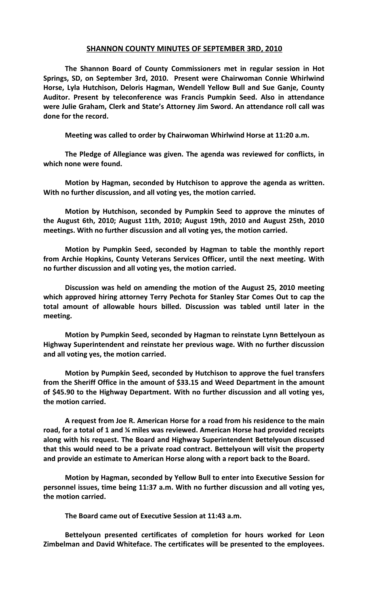## **SHANNON COUNTY MINUTES OF SEPTEMBER 3RD, 2010**

**The Shannon Board of County Commissioners met in regular session in Hot Springs, SD, on September 3rd, 2010. Present were Chairwoman Connie Whirlwind Horse, Lyla Hutchison, Deloris Hagman, Wendell Yellow Bull and Sue Ganje, County Auditor. Present by teleconference was Francis Pumpkin Seed. Also in attendance were Julie Graham, Clerk and State's Attorney Jim Sword. An attendance roll call was done for the record.**

**Meeting was called to order by Chairwoman Whirlwind Horse at 11:20 a.m.**

**The Pledge of Allegiance was given. The agenda was reviewed for conflicts, in which none were found.**

**Motion by Hagman, seconded by Hutchison to approve the agenda as written. With no further discussion, and all voting yes, the motion carried.**

**Motion by Hutchison, seconded by Pumpkin Seed to approve the minutes of the August 6th, 2010; August 11th, 2010; August 19th, 2010 and August 25th, 2010 meetings. With no further discussion and all voting yes, the motion carried.**

**Motion by Pumpkin Seed, seconded by Hagman to table the monthly report from Archie Hopkins, County Veterans Services Officer, until the next meeting. With no further discussion and all voting yes, the motion carried.** 

**Discussion was held on amending the motion of the August 25, 2010 meeting which approved hiring attorney Terry Pechota for Stanley Star Comes Out to cap the total amount of allowable hours billed. Discussion was tabled until later in the meeting.**

**Motion by Pumpkin Seed, seconded by Hagman to reinstate Lynn Bettelyoun as Highway Superintendent and reinstate her previous wage. With no further discussion and all voting yes, the motion carried.**

**Motion by Pumpkin Seed, seconded by Hutchison to approve the fuel transfers from the Sheriff Office in the amount of \$33.15 and Weed Department in the amount of \$45.90 to the Highway Department. With no further discussion and all voting yes, the motion carried.**

**A request from Joe R. American Horse for a road from his residence to the main road, for a total of 1 and ¼ miles was reviewed. American Horse had provided receipts along with his request. The Board and Highway Superintendent Bettelyoun discussed that this would need to be a private road contract. Bettelyoun will visit the property and provide an estimate to American Horse along with a report back to the Board.**

**Motion by Hagman, seconded by Yellow Bull to enter into Executive Session for personnel issues, time being 11:37 a.m. With no further discussion and all voting yes, the motion carried.**

**The Board came out of Executive Session at 11:43 a.m.**

**Bettelyoun presented certificates of completion for hours worked for Leon Zimbelman and David Whiteface. The certificates will be presented to the employees.**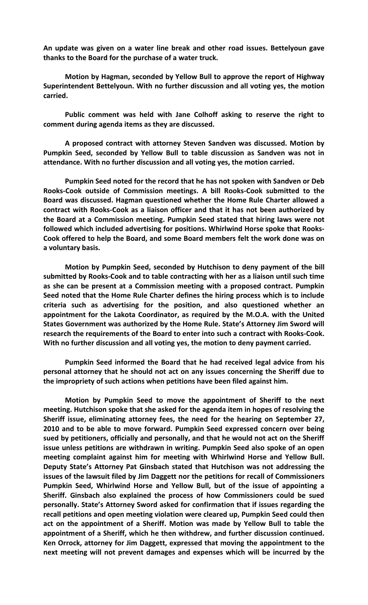**An update was given on a water line break and other road issues. Bettelyoun gave thanks to the Board for the purchase of a water truck.**

**Motion by Hagman, seconded by Yellow Bull to approve the report of Highway Superintendent Bettelyoun. With no further discussion and all voting yes, the motion carried.**

**Public comment was held with Jane Colhoff asking to reserve the right to comment during agenda items as they are discussed.**

**A proposed contract with attorney Steven Sandven was discussed. Motion by Pumpkin Seed, seconded by Yellow Bull to table discussion as Sandven was not in attendance. With no further discussion and all voting yes, the motion carried.**

**Pumpkin Seed noted for the record that he has not spoken with Sandven or Deb Rooks-Cook outside of Commission meetings. A bill Rooks-Cook submitted to the Board was discussed. Hagman questioned whether the Home Rule Charter allowed a contract with Rooks-Cook as a liaison officer and that it has not been authorized by the Board at a Commission meeting. Pumpkin Seed stated that hiring laws were not followed which included advertising for positions. Whirlwind Horse spoke that Rooks-Cook offered to help the Board, and some Board members felt the work done was on a voluntary basis.** 

**Motion by Pumpkin Seed, seconded by Hutchison to deny payment of the bill submitted by Rooks-Cook and to table contracting with her as a liaison until such time as she can be present at a Commission meeting with a proposed contract. Pumpkin Seed noted that the Home Rule Charter defines the hiring process which is to include criteria such as advertising for the position, and also questioned whether an appointment for the Lakota Coordinator, as required by the M.O.A. with the United States Government was authorized by the Home Rule. State's Attorney Jim Sword will research the requirements of the Board to enter into such a contract with Rooks-Cook. With no further discussion and all voting yes, the motion to deny payment carried.**

**Pumpkin Seed informed the Board that he had received legal advice from his personal attorney that he should not act on any issues concerning the Sheriff due to the impropriety of such actions when petitions have been filed against him.**

**Motion by Pumpkin Seed to move the appointment of Sheriff to the next meeting. Hutchison spoke that she asked for the agenda item in hopes of resolving the Sheriff issue, eliminating attorney fees, the need for the hearing on September 27, 2010 and to be able to move forward. Pumpkin Seed expressed concern over being sued by petitioners, officially and personally, and that he would not act on the Sheriff issue unless petitions are withdrawn in writing. Pumpkin Seed also spoke of an open meeting complaint against him for meeting with Whirlwind Horse and Yellow Bull. Deputy State's Attorney Pat Ginsbach stated that Hutchison was not addressing the issues of the lawsuit filed by Jim Daggett nor the petitions for recall of Commissioners Pumpkin Seed, Whirlwind Horse and Yellow Bull, but of the issue of appointing a Sheriff. Ginsbach also explained the process of how Commissioners could be sued personally. State's Attorney Sword asked for confirmation that if issues regarding the recall petitions and open meeting violation were cleared up, Pumpkin Seed could then act on the appointment of a Sheriff. Motion was made by Yellow Bull to table the appointment of a Sheriff, which he then withdrew, and further discussion continued. Ken Orrock, attorney for Jim Daggett, expressed that moving the appointment to the next meeting will not prevent damages and expenses which will be incurred by the**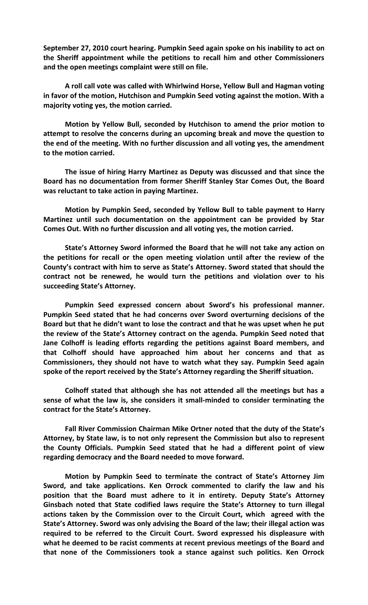**September 27, 2010 court hearing. Pumpkin Seed again spoke on his inability to act on the Sheriff appointment while the petitions to recall him and other Commissioners and the open meetings complaint were still on file.** 

**A roll call vote was called with Whirlwind Horse, Yellow Bull and Hagman voting in favor of the motion, Hutchison and Pumpkin Seed voting against the motion. With a majority voting yes, the motion carried.**

**Motion by Yellow Bull, seconded by Hutchison to amend the prior motion to attempt to resolve the concerns during an upcoming break and move the question to the end of the meeting. With no further discussion and all voting yes, the amendment to the motion carried.**

**The issue of hiring Harry Martinez as Deputy was discussed and that since the Board has no documentation from former Sheriff Stanley Star Comes Out, the Board was reluctant to take action in paying Martinez.**

**Motion by Pumpkin Seed, seconded by Yellow Bull to table payment to Harry Martinez until such documentation on the appointment can be provided by Star Comes Out. With no further discussion and all voting yes, the motion carried.**

**State's Attorney Sword informed the Board that he will not take any action on the petitions for recall or the open meeting violation until after the review of the County's contract with him to serve as State's Attorney. Sword stated that should the contract not be renewed, he would turn the petitions and violation over to his succeeding State's Attorney.**

**Pumpkin Seed expressed concern about Sword's his professional manner. Pumpkin Seed stated that he had concerns over Sword overturning decisions of the Board but that he didn't want to lose the contract and that he was upset when he put the review of the State's Attorney contract on the agenda. Pumpkin Seed noted that Jane Colhoff is leading efforts regarding the petitions against Board members, and that Colhoff should have approached him about her concerns and that as Commissioners, they should not have to watch what they say. Pumpkin Seed again spoke of the report received by the State's Attorney regarding the Sheriff situation.** 

**Colhoff stated that although she has not attended all the meetings but has a sense of what the law is, she considers it small-minded to consider terminating the contract for the State's Attorney.**

**Fall River Commission Chairman Mike Ortner noted that the duty of the State's Attorney, by State law, is to not only represent the Commission but also to represent the County Officials. Pumpkin Seed stated that he had a different point of view regarding democracy and the Board needed to move forward.**

**Motion by Pumpkin Seed to terminate the contract of State's Attorney Jim Sword, and take applications. Ken Orrock commented to clarify the law and his position that the Board must adhere to it in entirety. Deputy State's Attorney Ginsbach noted that State codified laws require the State's Attorney to turn illegal actions taken by the Commission over to the Circuit Court, which agreed with the State's Attorney. Sword was only advising the Board of the law; their illegal action was required to be referred to the Circuit Court. Sword expressed his displeasure with what he deemed to be racist comments at recent previous meetings of the Board and that none of the Commissioners took a stance against such politics. Ken Orrock**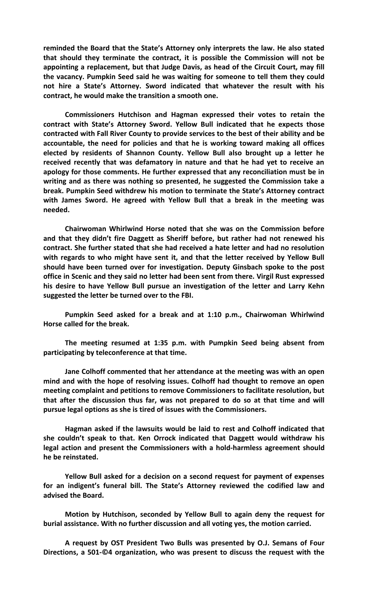**reminded the Board that the State's Attorney only interprets the law. He also stated that should they terminate the contract, it is possible the Commission will not be appointing a replacement, but that Judge Davis, as head of the Circuit Court, may fill the vacancy. Pumpkin Seed said he was waiting for someone to tell them they could not hire a State's Attorney. Sword indicated that whatever the result with his contract, he would make the transition a smooth one.**

**Commissioners Hutchison and Hagman expressed their votes to retain the contract with State's Attorney Sword. Yellow Bull indicated that he expects those contracted with Fall River County to provide services to the best of their ability and be accountable, the need for policies and that he is working toward making all offices elected by residents of Shannon County. Yellow Bull also brought up a letter he received recently that was defamatory in nature and that he had yet to receive an apology for those comments. He further expressed that any reconciliation must be in writing and as there was nothing so presented, he suggested the Commission take a break. Pumpkin Seed withdrew his motion to terminate the State's Attorney contract with James Sword. He agreed with Yellow Bull that a break in the meeting was needed.**

**Chairwoman Whirlwind Horse noted that she was on the Commission before and that they didn't fire Daggett as Sheriff before, but rather had not renewed his contract. She further stated that she had received a hate letter and had no resolution with regards to who might have sent it, and that the letter received by Yellow Bull should have been turned over for investigation. Deputy Ginsbach spoke to the post office in Scenic and they said no letter had been sent from there. Virgil Rust expressed his desire to have Yellow Bull pursue an investigation of the letter and Larry Kehn suggested the letter be turned over to the FBI.**

**Pumpkin Seed asked for a break and at 1:10 p.m., Chairwoman Whirlwind Horse called for the break.**

**The meeting resumed at 1:35 p.m. with Pumpkin Seed being absent from participating by teleconference at that time.**

**Jane Colhoff commented that her attendance at the meeting was with an open mind and with the hope of resolving issues. Colhoff had thought to remove an open meeting complaint and petitions to remove Commissioners to facilitate resolution, but that after the discussion thus far, was not prepared to do so at that time and will pursue legal options as she is tired of issues with the Commissioners.**

**Hagman asked if the lawsuits would be laid to rest and Colhoff indicated that she couldn't speak to that. Ken Orrock indicated that Daggett would withdraw his legal action and present the Commissioners with a hold-harmless agreement should he be reinstated.**

**Yellow Bull asked for a decision on a second request for payment of expenses for an indigent's funeral bill. The State's Attorney reviewed the codified law and advised the Board.**

**Motion by Hutchison, seconded by Yellow Bull to again deny the request for burial assistance. With no further discussion and all voting yes, the motion carried.**

**A request by OST President Two Bulls was presented by O.J. Semans of Four Directions, a 501-©4 organization, who was present to discuss the request with the**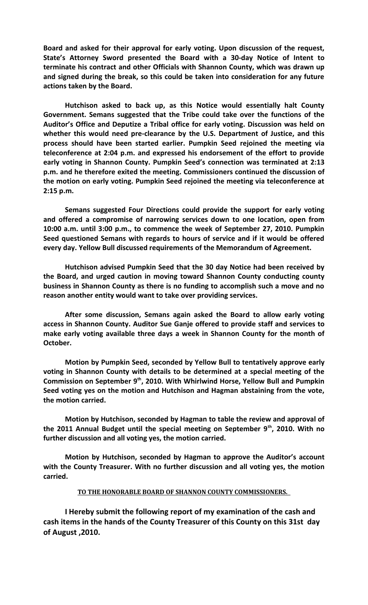**Board and asked for their approval for early voting. Upon discussion of the request, State's Attorney Sword presented the Board with a 30-day Notice of Intent to terminate his contract and other Officials with Shannon County, which was drawn up and signed during the break, so this could be taken into consideration for any future actions taken by the Board.**

**Hutchison asked to back up, as this Notice would essentially halt County Government. Semans suggested that the Tribe could take over the functions of the Auditor's Office and Deputize a Tribal office for early voting. Discussion was held on whether this would need pre-clearance by the U.S. Department of Justice, and this process should have been started earlier. Pumpkin Seed rejoined the meeting via teleconference at 2:04 p.m. and expressed his endorsement of the effort to provide early voting in Shannon County. Pumpkin Seed's connection was terminated at 2:13 p.m. and he therefore exited the meeting. Commissioners continued the discussion of the motion on early voting. Pumpkin Seed rejoined the meeting via teleconference at 2:15 p.m.**

**Semans suggested Four Directions could provide the support for early voting and offered a compromise of narrowing services down to one location, open from 10:00 a.m. until 3:00 p.m., to commence the week of September 27, 2010. Pumpkin Seed questioned Semans with regards to hours of service and if it would be offered every day. Yellow Bull discussed requirements of the Memorandum of Agreement.**

**Hutchison advised Pumpkin Seed that the 30 day Notice had been received by the Board, and urged caution in moving toward Shannon County conducting county business in Shannon County as there is no funding to accomplish such a move and no reason another entity would want to take over providing services.**

**After some discussion, Semans again asked the Board to allow early voting access in Shannon County. Auditor Sue Ganje offered to provide staff and services to make early voting available three days a week in Shannon County for the month of October.**

**Motion by Pumpkin Seed, seconded by Yellow Bull to tentatively approve early voting in Shannon County with details to be determined at a special meeting of the Commission on September 9th, 2010. With Whirlwind Horse, Yellow Bull and Pumpkin Seed voting yes on the motion and Hutchison and Hagman abstaining from the vote, the motion carried.**

**Motion by Hutchison, seconded by Hagman to table the review and approval of the 2011 Annual Budget until the special meeting on September 9th, 2010. With no further discussion and all voting yes, the motion carried.**

**Motion by Hutchison, seconded by Hagman to approve the Auditor's account with the County Treasurer. With no further discussion and all voting yes, the motion carried.**

## **TO THE HONORABLE BOARD OF SHANNON COUNTY COMMISSIONERS.**

**I Hereby submit the following report of my examination of the cash and cash items in the hands of the County Treasurer of this County on this 31st day of August ,2010.**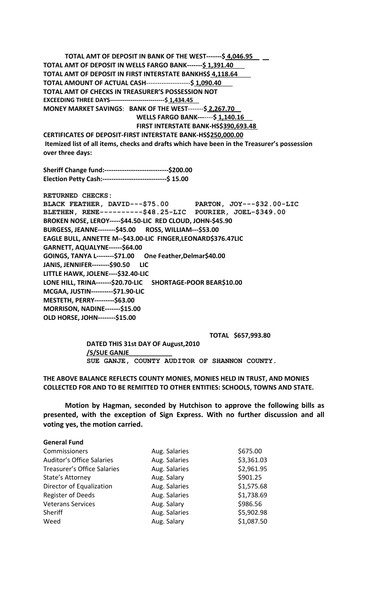**TOTAL AMT OF DEPOSIT IN BANK OF THE WEST-------\$ 4,046.95 TOTAL AMT OF DEPOSIT IN WELLS FARGO BANK-------\$ 1,391.40 TOTAL AMT OF DEPOSIT IN FIRST INTERSTATE BANKHS\$ 4,118.64 TOTAL AMOUNT OF ACTUAL CASH**--------------------**\$ 1,090.40 TOTAL AMT OF CHECKS IN TREASURER'S POSSESSION NOT EXCEEDING THREE DAYS---------------------------\$ 1,434.45 MONEY MARKET SAVINGS**: **BANK OF THE WEST**-------**\$ 2,267.70 WELLS FARGO BANK---**----**\$ 1,140.16 FIRST INTERSTATE BANK-HS\$390,693.48 CERTIFICATES OF DEPOSIT-FIRST INTERSTATE BANK-HS\$250,000.00**

**Itemized list of all items, checks and drafts which have been in the Treasurer's possession over three days:**

**Sheriff Change fund:-----------------------------\$200.00 Election Petty Cash:-----------------------------\$ 15.00**

**RETURNED CHECKS: BLACK FEATHER, DAVID---\$75.00 PARTON, JOY---\$32.00-LIC BLETHEN, RENE----------\$48.25-LIC POURIER, JOEL-\$349.00 BROKEN NOSE, LEROY-----\$44.50-LIC RED CLOUD, JOHN-\$45.90 BURGESS, JEANNE--------\$45.00 ROSS, WILLIAM---\$53.00 EAGLE BULL, ANNETTE M--\$43.00-LIC FINGER,LEONARD\$376.47LIC GARNETT, AQUALYNE------\$64.00 GOINGS, TANYA L--------\$71.00 One Feather,Delmar\$40.00 JANIS, JENNIFER--------\$90.50 LIC LITTLE HAWK, JOLENE----\$32.40-LIC LONE HILL, TRINA-------\$20.70-LIC SHORTAGE-POOR BEAR\$10.00 MCGAA, JUSTIN----------\$71.90-LIC MESTETH, PERRY---------\$63.00 MORRISON, NADINE-------\$15.00 OLD HORSE, JOHN--------\$15.00**

**TOTAL \$657,993.80**

**DATED THIS 31st DAY OF August,2010 /S/SUE GANJE\_\_\_\_\_\_\_\_\_\_\_\_ SUE GANJE, COUNTY AUDITOR OF SHANNON COUNTY.**

**THE ABOVE BALANCE REFLECTS COUNTY MONIES, MONIES HELD IN TRUST, AND MONIES COLLECTED FOR AND TO BE REMITTED TO OTHER ENTITIES: SCHOOLS, TOWNS AND STATE.**

**Motion by Hagman, seconded by Hutchison to approve the following bills as presented, with the exception of Sign Express. With no further discussion and all voting yes, the motion carried.**

**General Fund**

| Commissioners                    | Aug. Salaries | \$675.00   |
|----------------------------------|---------------|------------|
| <b>Auditor's Office Salaries</b> | Aug. Salaries | \$3,361.03 |
| Treasurer's Office Salaries      | Aug. Salaries | \$2,961.95 |
| State's Attorney                 | Aug. Salary   | \$901.25   |
| Director of Equalization         | Aug. Salaries | \$1,575.68 |
| <b>Register of Deeds</b>         | Aug. Salaries | \$1,738.69 |
| <b>Veterans Services</b>         | Aug. Salary   | \$986.56   |
| Sheriff                          | Aug. Salaries | \$5,902.98 |
| Weed                             | Aug. Salary   | \$1,087.50 |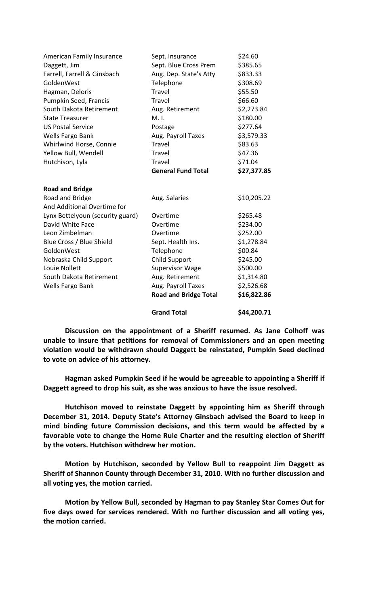|                                                | <b>Grand Total</b>           | \$44,200.71 |
|------------------------------------------------|------------------------------|-------------|
|                                                | <b>Road and Bridge Total</b> | \$16,822.86 |
| Wells Fargo Bank                               | Aug. Payroll Taxes           | \$2,526.68  |
| South Dakota Retirement                        | Aug. Retirement              | \$1,314.80  |
| Louie Nollett                                  | <b>Supervisor Wage</b>       | \$500.00    |
| Nebraska Child Support                         | <b>Child Support</b>         | \$245.00    |
| GoldenWest                                     | Telephone                    | \$00.84     |
| Blue Cross / Blue Shield                       | Sept. Health Ins.            | \$1,278.84  |
| Leon Zimbelman                                 | Overtime                     | \$252.00    |
| David White Face                               | Overtime                     | \$234.00    |
| Lynx Bettelyoun (security guard)               | Overtime                     | \$265.48    |
| Road and Bridge<br>And Additional Overtime for | Aug. Salaries                | \$10,205.22 |
| <b>Road and Bridge</b>                         |                              |             |
|                                                | <b>General Fund Total</b>    | \$27,377.85 |
| Hutchison, Lyla                                | Travel                       | \$71.04     |
| Yellow Bull, Wendell                           | Travel                       | \$47.36     |
| Whirlwind Horse, Connie                        | Travel                       | \$83.63     |
| Wells Fargo Bank                               | Aug. Payroll Taxes           | \$3,579.33  |
| <b>US Postal Service</b>                       | Postage                      | \$277.64    |
| <b>State Treasurer</b>                         | $M.1$ .                      | \$180.00    |
| South Dakota Retirement                        | Aug. Retirement              | \$2,273.84  |
| Pumpkin Seed, Francis                          | Travel                       | \$66.60     |
| Hagman, Deloris                                | Travel                       | \$55.50     |
| GoldenWest                                     | Telephone                    | \$308.69    |
| Farrell, Farrell & Ginsbach                    | Aug. Dep. State's Atty       | \$833.33    |
| Daggett, Jim                                   | Sept. Blue Cross Prem        | \$385.65    |
| American Family Insurance                      | Sept. Insurance              | \$24.60     |

**Discussion on the appointment of a Sheriff resumed. As Jane Colhoff was unable to insure that petitions for removal of Commissioners and an open meeting violation would be withdrawn should Daggett be reinstated, Pumpkin Seed declined to vote on advice of his attorney.**

**Hagman asked Pumpkin Seed if he would be agreeable to appointing a Sheriff if Daggett agreed to drop his suit, as she was anxious to have the issue resolved.**

**Hutchison moved to reinstate Daggett by appointing him as Sheriff through December 31, 2014. Deputy State's Attorney Ginsbach advised the Board to keep in mind binding future Commission decisions, and this term would be affected by a favorable vote to change the Home Rule Charter and the resulting election of Sheriff by the voters. Hutchison withdrew her motion.** 

**Motion by Hutchison, seconded by Yellow Bull to reappoint Jim Daggett as Sheriff of Shannon County through December 31, 2010. With no further discussion and all voting yes, the motion carried.**

**Motion by Yellow Bull, seconded by Hagman to pay Stanley Star Comes Out for five days owed for services rendered. With no further discussion and all voting yes, the motion carried.**